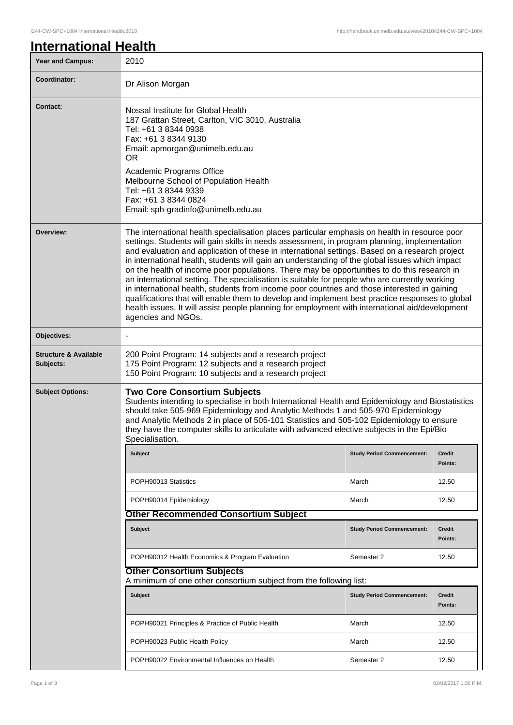| <b>International Health</b> |  |
|-----------------------------|--|
|                             |  |

| <b>Year and Campus:</b>                       | 2010                                                                                                                                                                                                                                                                                                                                                                                                                                                                                                                                                                                                                                                                                                                                                                                                                                                                                                                          |                                   |                          |
|-----------------------------------------------|-------------------------------------------------------------------------------------------------------------------------------------------------------------------------------------------------------------------------------------------------------------------------------------------------------------------------------------------------------------------------------------------------------------------------------------------------------------------------------------------------------------------------------------------------------------------------------------------------------------------------------------------------------------------------------------------------------------------------------------------------------------------------------------------------------------------------------------------------------------------------------------------------------------------------------|-----------------------------------|--------------------------|
| Coordinator:                                  | Dr Alison Morgan                                                                                                                                                                                                                                                                                                                                                                                                                                                                                                                                                                                                                                                                                                                                                                                                                                                                                                              |                                   |                          |
| <b>Contact:</b>                               | Nossal Institute for Global Health<br>187 Grattan Street, Carlton, VIC 3010, Australia<br>Tel: +61 3 8344 0938<br>Fax: +61 3 8344 9130<br>Email: apmorgan@unimelb.edu.au<br><b>OR</b><br>Academic Programs Office<br>Melbourne School of Population Health<br>Tel: +61 3 8344 9339<br>Fax: +61 3 8344 0824<br>Email: sph-gradinfo@unimelb.edu.au                                                                                                                                                                                                                                                                                                                                                                                                                                                                                                                                                                              |                                   |                          |
| Overview:                                     | The international health specialisation places particular emphasis on health in resource poor<br>settings. Students will gain skills in needs assessment, in program planning, implementation<br>and evaluation and application of these in international settings. Based on a research project<br>in international health, students will gain an understanding of the global issues which impact<br>on the health of income poor populations. There may be opportunities to do this research in<br>an international setting. The specialisation is suitable for people who are currently working<br>in international health, students from income poor countries and those interested in gaining<br>qualifications that will enable them to develop and implement best practice responses to global<br>health issues. It will assist people planning for employment with international aid/development<br>agencies and NGOs. |                                   |                          |
| Objectives:                                   |                                                                                                                                                                                                                                                                                                                                                                                                                                                                                                                                                                                                                                                                                                                                                                                                                                                                                                                               |                                   |                          |
| <b>Structure &amp; Available</b><br>Subjects: | 200 Point Program: 14 subjects and a research project<br>175 Point Program: 12 subjects and a research project<br>150 Point Program: 10 subjects and a research project                                                                                                                                                                                                                                                                                                                                                                                                                                                                                                                                                                                                                                                                                                                                                       |                                   |                          |
| <b>Subject Options:</b>                       | <b>Two Core Consortium Subjects</b><br>Students intending to specialise in both International Health and Epidemiology and Biostatistics<br>should take 505-969 Epidemiology and Analytic Methods 1 and 505-970 Epidemiology<br>and Analytic Methods 2 in place of 505-101 Statistics and 505-102 Epidemiology to ensure<br>they have the computer skills to articulate with advanced elective subjects in the Epi/Bio<br>Specialisation.                                                                                                                                                                                                                                                                                                                                                                                                                                                                                      |                                   |                          |
|                                               | <b>Subject</b>                                                                                                                                                                                                                                                                                                                                                                                                                                                                                                                                                                                                                                                                                                                                                                                                                                                                                                                | <b>Study Period Commencement:</b> | <b>Credit</b><br>Points: |
|                                               | POPH90013 Statistics                                                                                                                                                                                                                                                                                                                                                                                                                                                                                                                                                                                                                                                                                                                                                                                                                                                                                                          | March                             | 12.50                    |
|                                               | POPH90014 Epidemiology                                                                                                                                                                                                                                                                                                                                                                                                                                                                                                                                                                                                                                                                                                                                                                                                                                                                                                        | March                             | 12.50                    |
|                                               | <b>Other Recommended Consortium Subject</b>                                                                                                                                                                                                                                                                                                                                                                                                                                                                                                                                                                                                                                                                                                                                                                                                                                                                                   |                                   |                          |
|                                               | <b>Subject</b>                                                                                                                                                                                                                                                                                                                                                                                                                                                                                                                                                                                                                                                                                                                                                                                                                                                                                                                | <b>Study Period Commencement:</b> | Credit<br>Points:        |
|                                               | POPH90012 Health Economics & Program Evaluation                                                                                                                                                                                                                                                                                                                                                                                                                                                                                                                                                                                                                                                                                                                                                                                                                                                                               | Semester 2                        | 12.50                    |
|                                               | <b>Other Consortium Subjects</b><br>A minimum of one other consortium subject from the following list:                                                                                                                                                                                                                                                                                                                                                                                                                                                                                                                                                                                                                                                                                                                                                                                                                        |                                   |                          |
|                                               | <b>Subject</b>                                                                                                                                                                                                                                                                                                                                                                                                                                                                                                                                                                                                                                                                                                                                                                                                                                                                                                                | <b>Study Period Commencement:</b> | <b>Credit</b><br>Points: |
|                                               | POPH90021 Principles & Practice of Public Health                                                                                                                                                                                                                                                                                                                                                                                                                                                                                                                                                                                                                                                                                                                                                                                                                                                                              | March                             | 12.50                    |
|                                               | POPH90023 Public Health Policy                                                                                                                                                                                                                                                                                                                                                                                                                                                                                                                                                                                                                                                                                                                                                                                                                                                                                                | March                             | 12.50                    |
|                                               | POPH90022 Environmental Influences on Health                                                                                                                                                                                                                                                                                                                                                                                                                                                                                                                                                                                                                                                                                                                                                                                                                                                                                  | Semester 2                        | 12.50                    |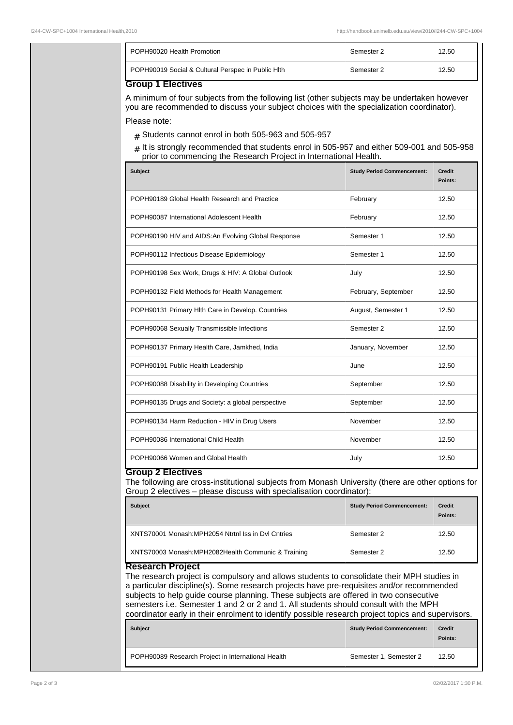| POPH90020 Health Promotion                                                                                                 | Semester 2 | 12.50 |
|----------------------------------------------------------------------------------------------------------------------------|------------|-------|
| POPH90019 Social & Cultural Perspec in Public Hith<br>$\bigcap_{x \in \mathbb{R}} \mathbb{R}^n$ is a finite $\mathbb{R}^n$ | Semester 2 | 12.50 |

**Group 1 Electives**

A minimum of four subjects from the following list (other subjects may be undertaken however you are recommended to discuss your subject choices with the specialization coordinator). Please note:

- $#$  Students cannot enrol in both 505-963 and 505-957
- # It is strongly recommended that students enrol in 505-957 and either 509-001 and 505-958 prior to commencing the Research Project in International Health.

| <b>Subject</b>                                      | <b>Study Period Commencement:</b> | <b>Credit</b><br>Points: |
|-----------------------------------------------------|-----------------------------------|--------------------------|
| POPH90189 Global Health Research and Practice       | February                          | 12.50                    |
| POPH90087 International Adolescent Health           | February                          | 12.50                    |
| POPH90190 HIV and AIDS: An Evolving Global Response | Semester 1                        | 12.50                    |
| POPH90112 Infectious Disease Epidemiology           | Semester 1                        | 12.50                    |
| POPH90198 Sex Work, Drugs & HIV: A Global Outlook   | July                              | 12.50                    |
| POPH90132 Field Methods for Health Management       | February, September               | 12.50                    |
| POPH90131 Primary Hlth Care in Develop. Countries   | August, Semester 1                | 12.50                    |
| POPH90068 Sexually Transmissible Infections         | Semester 2                        | 12.50                    |
| POPH90137 Primary Health Care, Jamkhed, India       | January, November                 | 12.50                    |
| POPH90191 Public Health Leadership                  | June                              | 12.50                    |
| POPH90088 Disability in Developing Countries        | September                         | 12.50                    |
| POPH90135 Drugs and Society: a global perspective   | September                         | 12.50                    |
| POPH90134 Harm Reduction - HIV in Drug Users        | November                          | 12.50                    |
| POPH90086 International Child Health                | November                          | 12.50                    |
| POPH90066 Women and Global Health                   | July                              | 12.50                    |

## **Group 2 Electives**

The following are cross-institutional subjects from Monash University (there are other options for Group 2 electives – please discuss with specialisation coordinator):

| <b>Subject</b>                                     | <b>Study Period Commencement:</b> | <b>Credit</b><br>Points: |
|----------------------------------------------------|-----------------------------------|--------------------------|
| XNTS70001 Monash:MPH2054 Ntrtnl Iss in Dyl Cntries | Semester 2                        | 12.50                    |
| XNTS70003 Monash:MPH2082Health Communic & Training | Semester 2                        | 12.50                    |

## **Research Project**

The research project is compulsory and allows students to consolidate their MPH studies in a particular discipline(s). Some research projects have pre-requisites and/or recommended subjects to help guide course planning. These subjects are offered in two consecutive semesters i.e. Semester 1 and 2 or 2 and 1. All students should consult with the MPH coordinator early in their enrolment to identify possible research project topics and supervisors.

| <b>Subject</b>                                     | <b>Study Period Commencement:</b> | <b>Credit</b><br>Points: |
|----------------------------------------------------|-----------------------------------|--------------------------|
| POPH90089 Research Project in International Health | Semester 1, Semester 2            | 12.50                    |